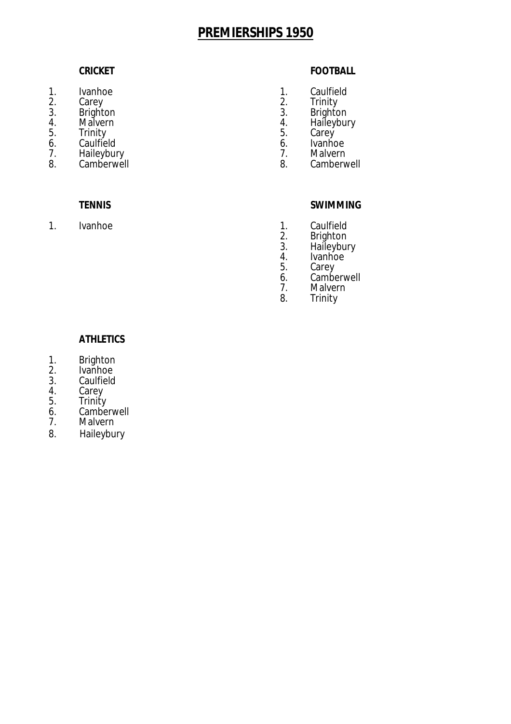- 
- 
- 
- 
- 
- 6. Caulfield 6. Ivanhoe
- 7. Haileybury 1. Malvern<br>
8. Camberwell 1990 12. September 1. Malvern<br>
8. Camberwell 1. Malvern 1. Malvern 1. Malvern 1. Malvern 1. Malvern 1. Malvern 1. Malvern 1. Malvern 1. Malvern 1. Camberwell

 $\mathbf{1}$ .

## **CRICKET FOOTBALL**

- 1. Ivanhoe 1. Caulfield 2. Carey 2. Trinity
- 2. Carey 2. Trinity
- 3. Brighton 3. Brighton
- 4. Malvern 1. Haileybury<br>
5. Trinity 1. Haileybury<br>
5. Carey
- 5. Trinity 5. Carey<br>
6. Caulfield 1990 1991 1992 1993 1994 1996 1997 1998 1999 1999 1999 1999 1999 1999<br>
1990 1990 1990 1991 1992 1993 1999 1999 1999 1999 1999 1999 1999
	-
	-
	-

## **TENNIS SWIMMING**

- Ivanhoe 1. Caulfield 2. Brighton
	- 2. Brighton<br>3. Haileybui
	- 3. Haileybury<br>4. Ivanhoe
	- 4. Ivanhoe<br>5. Carey
	- 5. Carey<br>6. Cambe
	- 6. Camberwell<br>7. Malvern
	- 7. Malvern<br>8. Trinity **Trinity**

- 1. Brighton<br>2. Ivanhoe
- 2. Ivanhoe<br>3. Caulfield
- 3. Caulfield<br>4. Carev
- 4. Carey<br>5. Trinity
- 5. Trinity<br>6. Cambe
- 6. Camberwell<br>7. Malvern **Malvern**
- 
- 8. Haileybury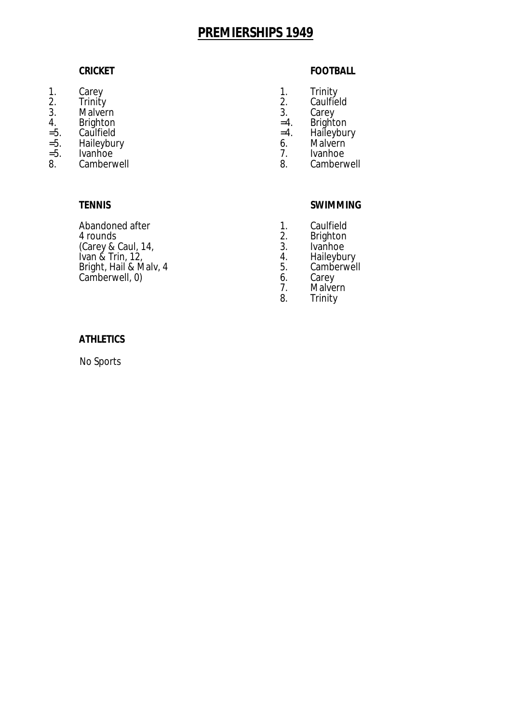- 
- 
- 3. Malvern 3. Carey<br>4. Brighton 5. Carey
- 
- 
- 
- =5. Ivanhoe 10 = 1. Ivanhoe 1. Ivanhoe 1. Ivanhoe 1. Ivanhoe 1. Ivanhoe 1. Ivanhoe 1. Ivanhoe 1. Ivanhoe 1. Ivanhoe 1. Ivanhoe 1. Ivanhoe 1. Ivanhoe 1. Ivanhoe 1. Ivanhoe 1. Ivanhoe 1. Ivanhoe 1. Ivanhoe 1. Ivanhoe 1. Ivan Camberwell

Abandoned after 1. Caulfield<br>4 rounds 1. Caulfield<br>2. Brighton (Carey & Caul, 14, and Samman and Samman and Samman and Samman and Samman and Samman and Samman and Samman and S<br>
Ivan & Trin, 12, and Samman and Samman and Samman and Samman and Samman and Samman and Samman and Samman and Ivan & Trin, 12, 4. Haileybury Bright, Hail & Malv, 4 5. Camberwell, 0)<br>
Camberwell, 0) 6. Carey Camberwell, 0) 6.

## **CRICKET FOOTBALL**

- 1. Carey **1.** Carey **1.** Carewall and the control of the control of the control of the control of the control of the control of the control of the control of the control of the control of the control of the control of the
- 2. Trinity 2. Caulfield
	-
- 4. Brighton =5. Caulfield =4. Brighton =5. Caulfield =4. Haileybu
- =5. Caulfield =4. Haileybury
- =5. Haileybury 6. Malvern
	-

# **TENNIS SWIMMING**

- 
- 2. Brighton<br>3. Ivanhoe
- 
- 
- 
- 
- 7. Malvern<br>8. Trinity **Trinity**

## **ATHLETICS**

No Sports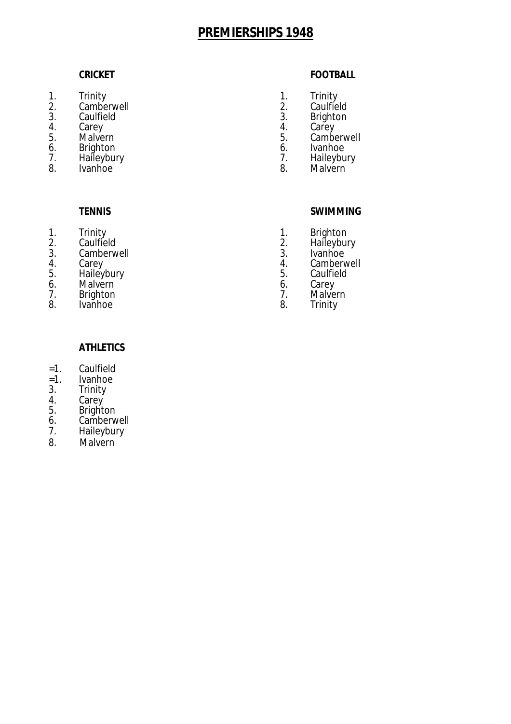- 1. Trinity 1. Trinity
- 2. Camberwell 2. Caulfield 3. Caulfield 3. Brighton
- 
- 
- 
- 6. Brighton 6. Ivanhoe
- 7. Haileybury 7. 2012 12:<br>8. Ivanhoe 8.
- 

- 
- 1. Trinity 1. Brighton<br>2. Caulfield 1. Brighton
- 2. Caulfield 2. Haileybury<br>3. Camberwell 2. Haileybury 3. Camberwell 3. 3.<br>4. Carey 4.
- 
- 
- 5. Fraileybury 1988, 1999, 1999, 1999, 1999, 1999, 1999, 1999, 1999, 1999, 1999, 1999, 1999, 1999, 1999, 1999, <br>1999, 1999, 1999, 1999, 1999, 1999, 1999, 1999, 1999, 1999, 1999, 1999, 1999, 1999, 1999, 1999, 1999, 1999, 1<br> 6. Malvern 6. 6.<br>
7. Brighton 7.
- 1. Brighton 1. Strategy 1. Strategy 1. Strategy 1. Strategy 1. Strategy 1. Strategy 1. Malvern<br>
1. Malvern 1. Malvern 1. Malvern 1. Malvern 1. Malvern 1. Malvern 1. Malvern 1. Malvern 1. Malvern 1. Malvern
- Ivanhoe

## **CRICKET FOOTBALL**

- 
- 
- 
- 4. Carey 4. Carey
- 5. Malvern 5. Camberwell
	-
	- Malvern
	-

### **TENNIS SWIMMING**

- 
- 
- 
- 4. Carey 1. Carey 1. Camberwell 5. Camberwell 5. Camberwell 5. Caulfield
	-
	-
	-

- =1. Caulfield
- =1. Ivanhoe
- 3. Trinity<br>4. Carey
- 4. Carey
- 5. Brighton
- 6. Camberwell<br>7. Haileybury
- **Haileybury**
- 8. Malvern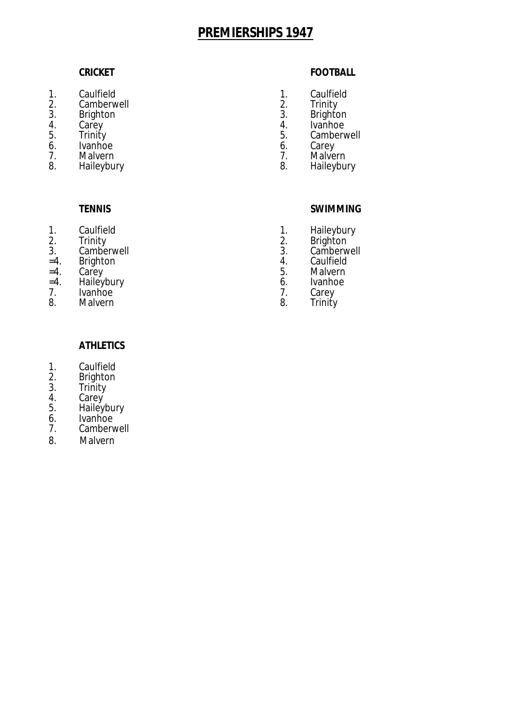- 1. Caulfield 1. Caulfield<br>2. Camberwell 1. Caulfield 2. Trinity
- 2. Camberwell 2. Trinity<br>
3. Brighton 3. Brighton
- 
- 
- 
- 6. Ivanhoe 6. Carey 6. Carey 6. Carey 6. Carey 6. Carey 6. Carey 6. Carey 6. Carey 6. Carey 6. Carey 6. Carey 6. Carey 6. Carey 6. Carey 6. Carey 6. Carey 6. Carey 6. Carey 6. Carey 6. Carey 6. Carey 6. Carey 6. Carey 6. C
- 7. Malvern 7. Malvern
- 

- 
- 
- 3. Camberwell 3. Camberwell
- =4. Brighton 4. Caulfield
- 
- =4. Haileybury 6. Ivanhoe
- 7. Ivanhoe 7. Carey
- **Malvern**

### **CRICKET FOOTBALL**

- 
- 
- 3. Brighton 3. Brighton
- 4. Carey 4. Ivanhoe
- 5. Trinity 5. Camberwell
	-
	-
- 8. Haileybury **8.** Haileybury **8.** Haileybury

- 
- 1. Caulfield 1. Haileybury<br>2. Trinity 2. Brighton 2. Trinity 2. Brighton
	-
	-
- =4. Carey 5. Malvern
	-
	-

- **ATHLETICS**
- 1. Caulfield<br>2. Brighton
- 2. Brighton<br>3. Trinity
- 3. Trinity<br>4. Carey
- 4. Carey
- 5. Haileybury
- 6. Ivanhoe<br>7. Cambery
- 7. Camberwell<br>8. Malvern **Malvern**
-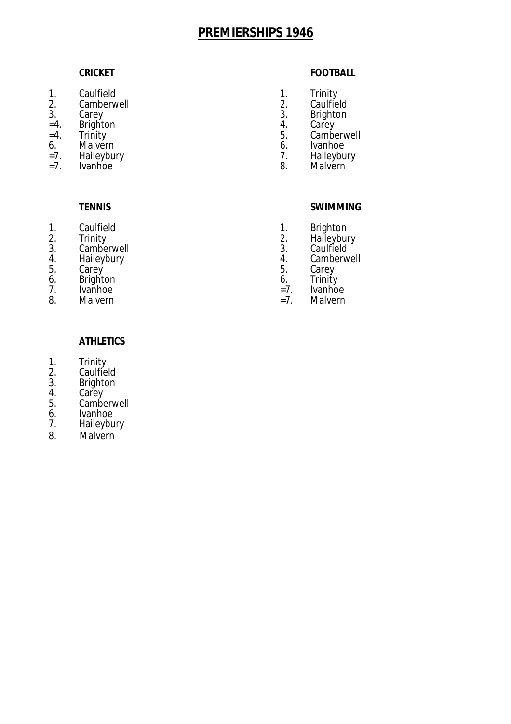- 1. Caulfield 1. Trinity<br>2. Camberwell 1. Caulfield 2. Caulfield
- 2. Camberwell 2. 2.<br>3. Carey 3.
- 
- $=4.$  Brighton  $=4.$  Trinity  $=5.$
- 
- 6. Malvern 6. Ivanhoe<br>
=7. Haileybury 1. Haileybury 1. Haileybury
- =7. Haileybury 7.<br>=7. Ivanhoe 8.
- 

- 
- 
- 3. Camberwell 3. 3.<br>4. Haileybury 4.
- 
- 5. Carey 5. Carey
- 6. Brighton 6. Trinity
- 7. Ivanhoe = 7. Ivanhoe = 7. Ivanhoe = 7. Ivanhoe = 7. Ivanhoe = 7. Ivanhoe = 7. Ivanhoe = 7. Ivanhoe = 7. Ivanhoe
- 

### **CRICKET FOOTBALL**

- 
- 
- 3. Carey 3. Brighton<br>
=4. Brighton 4. Carey
	-
- =4. Trinity 5. Camberwell
	-
	- Malvern
	-

### **TENNIS SWIMMING**

- 1. Caulfield 1. Brighton<br>
2. Trinity 2. Haileybur
- 2. Trinity 2. Haileybury
	-
- 4. Haileybury 1. Camberwell<br>5. Carey 1. Carey 5. Carey
	-
	-
- 8. Malvern = 5. Malvern =7. Malvern = 5. Malvern = 7. Malvern = 7. Malvern = 7. Malvern = 7. Malvern = 7. Malvern = 7. Malvern = 7. Malvern = 7. Malvern = 7. Malvern = 7. Malvern = 7. Malvern = 7. Malvern = 7. Malvern = 7.

- 1. Trinity
- 2. Caulfield
- 3. Brighton<br>4. Carev
- 4. Carey<br>5. Cambe
- 5. Camberwell<br>6. Ivanhoe
- 6. Ivanhoe<br>7. Haileybu
- **Haileybury**
- 8. Malvern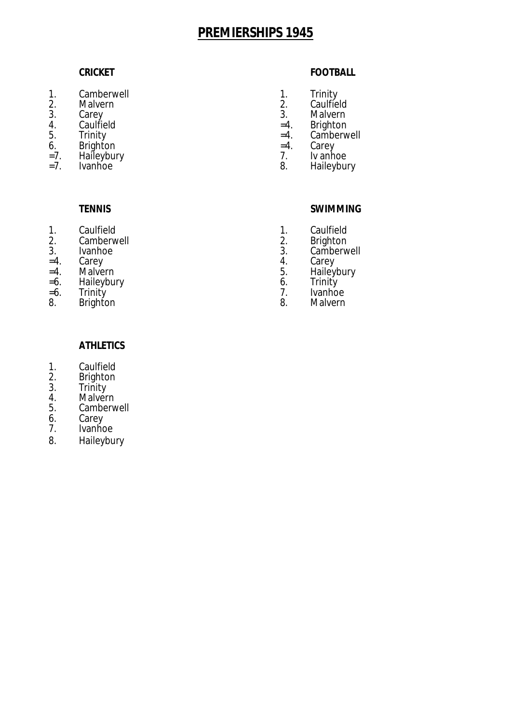- 1. Camberwell **1.** Camberwell
- 
- 
- 
- 
- 6. Brighton =4. Carey
- $=7.$  Haileybury 7.<br> $=7.$  Ivanhoe 8.
- 

- 1. Caulfield 1. Caulfield 2. Caulfield 2. Caulfield 2. Caulfield 2. Caulfield 2. Caulfield 2. Caulfield 2. Caulfield 2. Caulfield 2. Caulfield 2. Caulfield 2. Caulfield 2. Caulfield 2. Caulfield 2. Caulfield 2. Caulfield 2
- 2. Camberwell 2. 2.<br>3. Ivanhoe 3.
- 
- 
- =4. Malvern 5. Haileybury
- =6. Haileybury 6. Trinity
- 8. Brighton 8. Malvern

## **CRICKET FOOTBALL**

- 
- 2. Malvern 2. Caulfield
- 3. Carey 3. Malvern 3. Malvern 3. Malvern 3. Malvern 3. Malvern 3. Malvern 3. Malvern 3. Malvern 3. Malvern 3. Malvern 3. Malvern 3. Malvern 3. Malvern 3. Malvern 3. Malvern 3. Malvern 3. Malvern 3. Malvern 3. Malvern 3. M
- 4. Caulfield =4. Brighton
- 5. Trinity =4. Camberwell<br>6. Brighton = 1. Carey
	-
	-
	- Haileybury

# **TENNIS SWIMMING**

- 
- 
- 3. Ivanhoe 3. Camberwell<br>
=4. Carey 3. Carey 4. Carey
- =4. Carey 4. Carey
	-
	-
- =6. Trinity 7. Ivanhoe

- 1. Caulfield<br>2. Brighton
- 2. Brighton<br>3. Trinity
- 3. Trinity<br>4. Malver
- 4. Malvern<br>5. Camberv
- 5. Camberwell<br>6. Carey
- 6. Carey<br>7. Ivanho
- 7. Ivanhoe<br>8. Haileybu
- **Haileybury**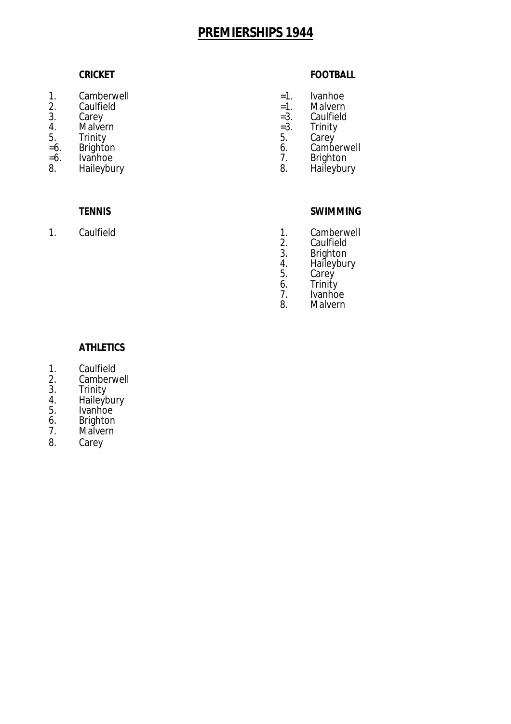- 1. Camberwell =1. Ivanhoe
- 2. Caulfield  $=1$ .<br>3. Carey  $=3$ .
- 
- 4. Malvern =3.<br>5. Trinity 5. 5.
- 
- 
- =6. Ivanhoe 7. Brighton

## **CRICKET FOOTBALL**

- 
- 
- 3. Carey =3. Caulfield
	-
- 5. Trinity 5. Carey
- =6. Brighton 6. Camberwell
	-
	- Haileybury

- 1. Caulfield 1. Camberwell<br>
2. Caulfield 1. Camberwell
	- 2. Caulfield<br>3. Brighton
	- 3. Brighton<br>4. Haileybui
	- 3. Brighton<br>4. Haileybury<br>5. Carey
	- 5. Carey<br>6. Trinity
	- 6. Trinity
	- 7. Ivanhoe<br>8. Malvern **Malvern**

- **ATHLETICS**
- 1. Caulfield<br>2. Camberw
- 2. Camberwell<br>3. Trinity
- 3. Trinity
- 4. Haileybury
- 5. Ivanhoe
- 6. Brighton<br>7. Malvern
- **Malvern**
- 8. Carey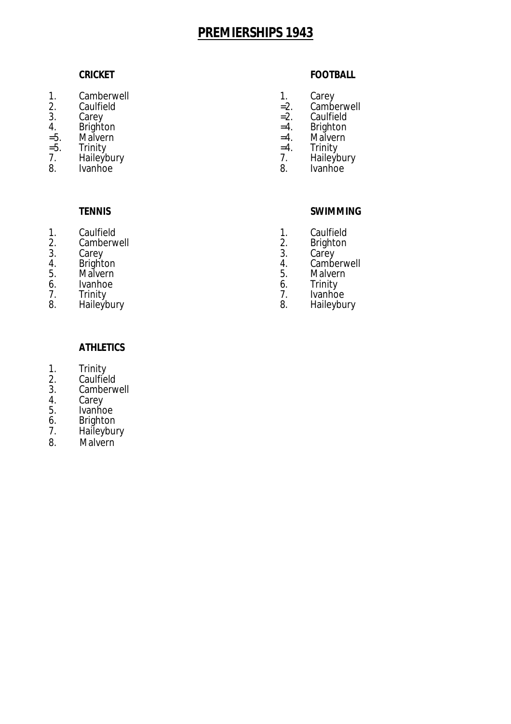- 1. Camberwell 1. Carey
- 
- 
- 4. Brighton =4. Brighton
- =5. Malvern =4. Malvern
- 
- 8. Ivanhoe 8. Ivanhoe 8. Ivanhoe

- $\mathbf{1}$ . 1. Caulfield 1. Caulfield 1. Caulfield 2. Caulfield 2. Caulfield 2. Caulfield 2. Caulfield 2. Caulfield 2. Caulfield 2. Caulfield 2. Caulfield 2. Caulfield 2. Caulfield 2. Caulfield 2. Caulfield 2. Caulfield 2. Caulfield 2
- 2. Camberwell 2. Brighton<br>3. Carey 3. Carey
- 
- 
- 5. Malvern 5. Malvern 5. Malvern 5. S. Malvern 5. Malvern 5. Malvern 5. Malvern 5. Malvern 5. Malvern 5. Malvern 5. Malvern 5. Malvern 5. Malvern 5. Malvern 5. Malvern 5. Malvern 5. Malvern 5. Malvern 5. Malvern 5. Malvern
- 6. Ivanhoe 6. 6.<br>
7. Trinity 7. 2.
- 
- 8. Haileybury 8. Haileybury

### **CRICKET FOOTBALL**

- 
- 2. Caulfield =2. Camberwell
- 3. Carey =2. Caulfield<br>4. Brighton = 1. Example = 2. Caulfield
	-
	-
- =5. Trinity =4. Trinity
- 7. Haileybury 7. Haileybury
	-

### **TENNIS SWIMMING**

- 
- 
- 3. Carey 3. Carey
- 4. Brighton 4. Camberwell
	-
	-
- 7. Trinity 7. Ivanhoe

- 1. Trinity
- 2. Caulfield
- 3. Camberwell<br>4. Carey
- 4. Carey
- 5. Ivanhoe
- 6. Brighton<br>7. Haileybur
- 7. Haileybury
- 8. Malvern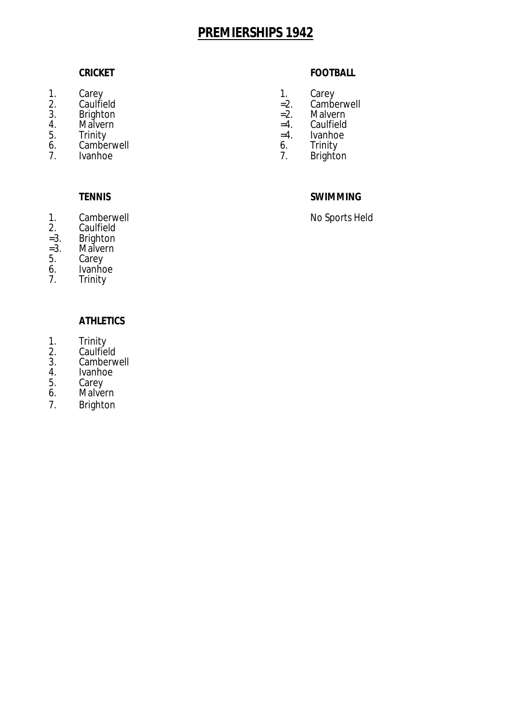- 1. Carey **1.** Carey
- 
- 3. Brighton =2. Malvern
- 4. Malvern =4.<br>5. Trinity = 4.
- 5. Trinity =4. Ivanhoe
- 6. Camberwell 6. 6.<br>
7. Ivanhoe 7.

- $1.$ 1. Camberwell **No Sports Held**<br>2. Caulfield **No Sports Held**
- 2. Caulfield<br>=3. Brighton
- =3. Brighton
- =3. Malvern
- 5. Carey
- 6. Ivanhoe<br>7. Trinity
- 7. Trinity

### **ATHLETICS**

- 1. Trinity
- 2. Caulfield
- 3. Camberwell<br>4. Ivanhoe
- 4. Ivanhoe<br>5. Carey
- 5. Carey<br>6. Malve
- Malvern
- 7. Brighton

## **CRICKET FOOTBALL**

- 
- 2. Caulfield =2. Camberwell
	-
	-
	-
	-
	- **Brighton**